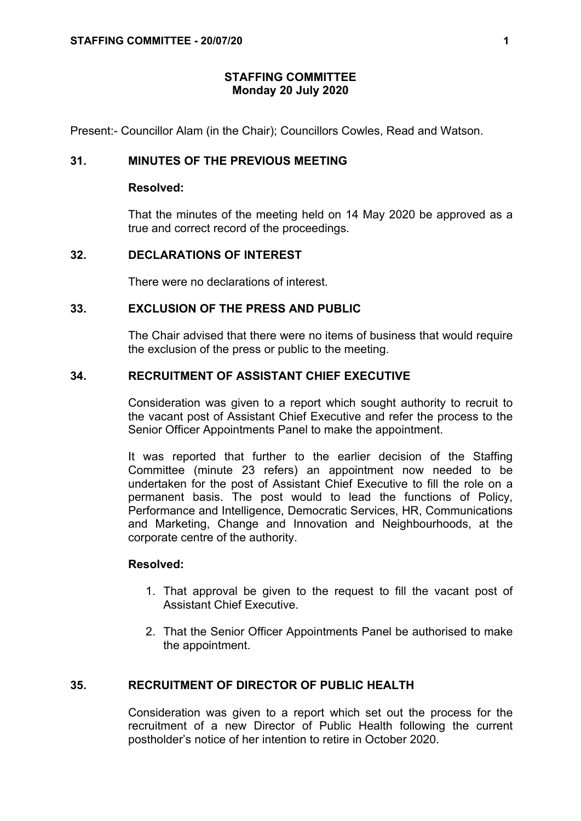## **STAFFING COMMITTEE Monday 20 July 2020**

Present:- Councillor Alam (in the Chair); Councillors Cowles, Read and Watson.

## **31. MINUTES OF THE PREVIOUS MEETING**

### **Resolved:**

That the minutes of the meeting held on 14 May 2020 be approved as a true and correct record of the proceedings.

### **32. DECLARATIONS OF INTEREST**

There were no declarations of interest.

# **33. EXCLUSION OF THE PRESS AND PUBLIC**

The Chair advised that there were no items of business that would require the exclusion of the press or public to the meeting.

## **34. RECRUITMENT OF ASSISTANT CHIEF EXECUTIVE**

Consideration was given to a report which sought authority to recruit to the vacant post of Assistant Chief Executive and refer the process to the Senior Officer Appointments Panel to make the appointment.

It was reported that further to the earlier decision of the Staffing Committee (minute 23 refers) an appointment now needed to be undertaken for the post of Assistant Chief Executive to fill the role on a permanent basis. The post would to lead the functions of Policy, Performance and Intelligence, Democratic Services, HR, Communications and Marketing, Change and Innovation and Neighbourhoods, at the corporate centre of the authority.

#### **Resolved:**

- 1. That approval be given to the request to fill the vacant post of Assistant Chief Executive.
- 2. That the Senior Officer Appointments Panel be authorised to make the appointment.

## **35. RECRUITMENT OF DIRECTOR OF PUBLIC HEALTH**

Consideration was given to a report which set out the process for the recruitment of a new Director of Public Health following the current postholder's notice of her intention to retire in October 2020.